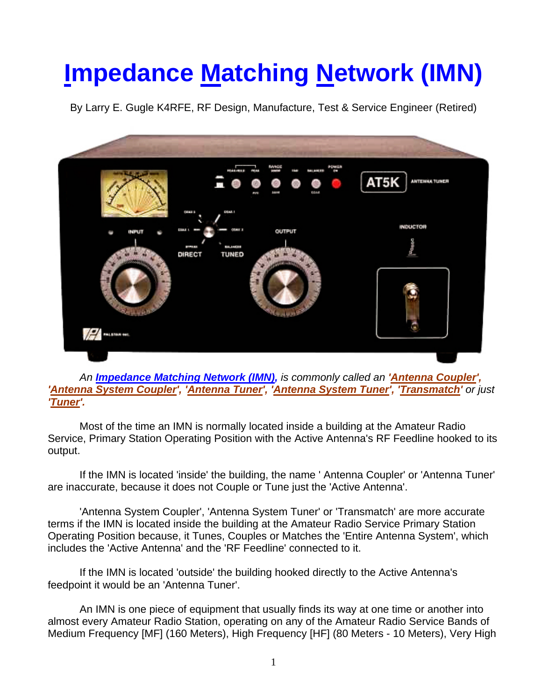## **Impedance Matching Network (IMN)**

By Larry E. Gugle K4RFE, RF Design, Manufacture, Test & Service Engineer (Retired)



An *Impedance Matching Network (IMN)*, *is commonly called an 'Antenna Coupler'*, *'Antenna System Coupler', 'Antenna Tuner', 'Antenna System Tuner', 'Transmatch' or just 'Tuner'.* 

Most of the time an IMN is normally located inside a building at the Amateur Radio Service, Primary Station Operating Position with the Active Antenna's RF Feedline hooked to its output.

If the IMN is located 'inside' the building, the name ' Antenna Coupler' or 'Antenna Tuner' are inaccurate, because it does not Couple or Tune just the 'Active Antenna'.

'Antenna System Coupler', 'Antenna System Tuner' or 'Transmatch' are more accurate terms if the IMN is located inside the building at the Amateur Radio Service Primary Station Operating Position because, it Tunes, Couples or Matches the 'Entire Antenna System', which includes the 'Active Antenna' and the 'RF Feedline' connected to it.

If the IMN is located 'outside' the building hooked directly to the Active Antenna's feedpoint it would be an 'Antenna Tuner'.

An IMN is one piece of equipment that usually finds its way at one time or another into almost every Amateur Radio Station, operating on any of the Amateur Radio Service Bands of Medium Frequency [MF] (160 Meters), High Frequency [HF] (80 Meters - 10 Meters), Very High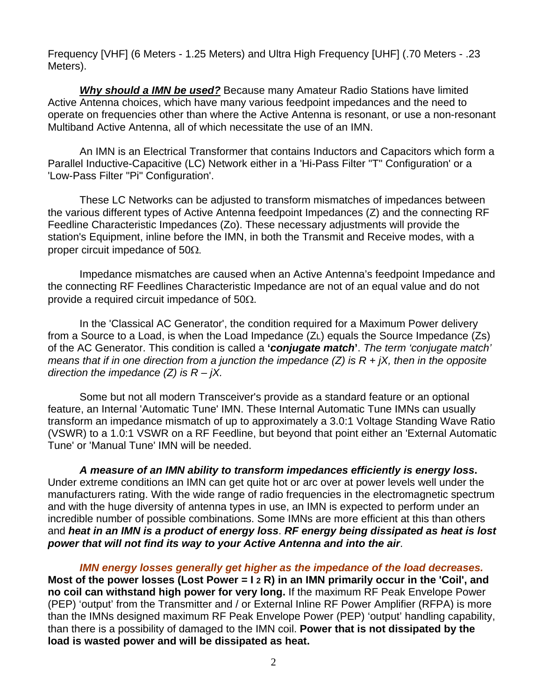Frequency [VHF] (6 Meters - 1.25 Meters) and Ultra High Frequency [UHF] (.70 Meters - .23 Meters).

*Why should a IMN be used?* Because many Amateur Radio Stations have limited Active Antenna choices, which have many various feedpoint impedances and the need to operate on frequencies other than where the Active Antenna is resonant, or use a non-resonant Multiband Active Antenna, all of which necessitate the use of an IMN.

An IMN is an Electrical Transformer that contains Inductors and Capacitors which form a Parallel Inductive-Capacitive (LC) Network either in a 'Hi-Pass Filter "T" Configuration' or a 'Low-Pass Filter "Pi" Configuration'.

These LC Networks can be adjusted to transform mismatches of impedances between the various different types of Active Antenna feedpoint Impedances (Z) and the connecting RF Feedline Characteristic Impedances (Zo). These necessary adjustments will provide the station's Equipment, inline before the IMN, in both the Transmit and Receive modes, with a proper circuit impedance of  $50\Omega$ .

Impedance mismatches are caused when an Active Antenna's feedpoint Impedance and the connecting RF Feedlines Characteristic Impedance are not of an equal value and do not provide a required circuit impedance of  $50\Omega$ .

In the 'Classical AC Generator', the condition required for a Maximum Power delivery from a Source to a Load, is when the Load Impedance (ZL) equals the Source Impedance (Zs) of the AC Generator. This condition is called a **'***conjugate match***'**. *The term 'conjugate match' means that if in one direction from a junction the impedance (Z) is R + jX, then in the opposite direction the impedance (Z) is R – jX.*

Some but not all modern Transceiver's provide as a standard feature or an optional feature, an Internal 'Automatic Tune' IMN. These Internal Automatic Tune IMNs can usually transform an impedance mismatch of up to approximately a 3.0:1 Voltage Standing Wave Ratio (VSWR) to a 1.0:1 VSWR on a RF Feedline, but beyond that point either an 'External Automatic Tune' or 'Manual Tune' IMN will be needed.

*A measure of an IMN ability to transform impedances efficiently is energy loss***.** Under extreme conditions an IMN can get quite hot or arc over at power levels well under the manufacturers rating. With the wide range of radio frequencies in the electromagnetic spectrum and with the huge diversity of antenna types in use, an IMN is expected to perform under an incredible number of possible combinations. Some IMNs are more efficient at this than others and *heat in an IMN is a product of energy loss*. *RF energy being dissipated as heat is lost power that will not find its way to your Active Antenna and into the air*.

*IMN energy losses generally get higher as the impedance of the load decreases.* **Most of the power losses (Lost Power = I 2 R) in an IMN primarily occur in the 'Coil', and no coil can withstand high power for very long.** If the maximum RF Peak Envelope Power (PEP) 'output' from the Transmitter and / or External Inline RF Power Amplifier (RFPA) is more than the IMNs designed maximum RF Peak Envelope Power (PEP) 'output' handling capability, than there is a possibility of damaged to the IMN coil. **Power that is not dissipated by the load is wasted power and will be dissipated as heat.**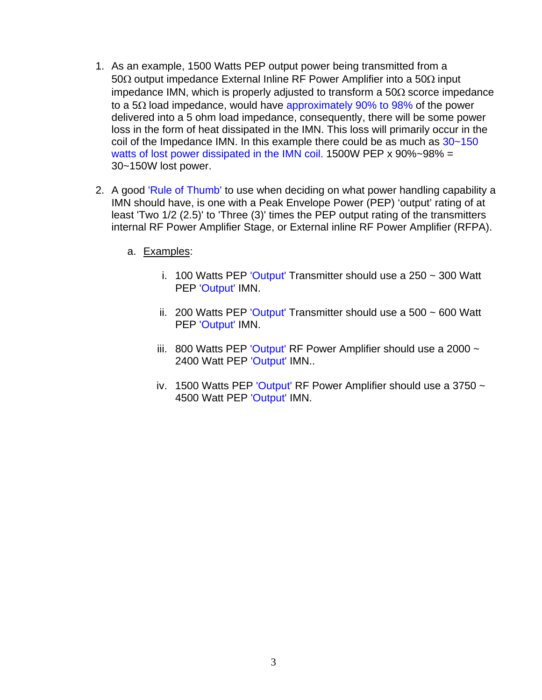- 1. As an example, 1500 Watts PEP output power being transmitted from a 50 $\Omega$  output impedance External Inline RF Power Amplifier into a 50 $\Omega$  input impedance IMN, which is properly adjusted to transform a  $50\Omega$  scorce impedance to a 5 $\Omega$  load impedance, would have approximately 90% to 98% of the power delivered into a 5 ohm load impedance, consequently, there will be some power loss in the form of heat dissipated in the IMN. This loss will primarily occur in the coil of the Impedance IMN. In this example there could be as much as 30~150 watts of lost power dissipated in the IMN coil. 1500W PEP x 90%~98% = 30~150W lost power.
- 2. A good 'Rule of Thumb' to use when deciding on what power handling capability a IMN should have, is one with a Peak Envelope Power (PEP) 'output' rating of at least 'Two 1/2 (2.5)' to 'Three (3)' times the PEP output rating of the transmitters internal RF Power Amplifier Stage, or External inline RF Power Amplifier (RFPA).
	- a. Examples:
		- i. 100 Watts PEP 'Output' Transmitter should use a 250  $\sim$  300 Watt PEP 'Output' IMN.
		- ii. 200 Watts PEP 'Output' Transmitter should use a  $500 \sim 600$  Watt PEP 'Output' IMN.
		- iii. 800 Watts PEP 'Output' RF Power Amplifier should use a 2000  $\sim$ 2400 Watt PEP 'Output' IMN..
		- iv. 1500 Watts PEP 'Output' RF Power Amplifier should use a 3750  $\sim$ 4500 Watt PEP 'Output' IMN.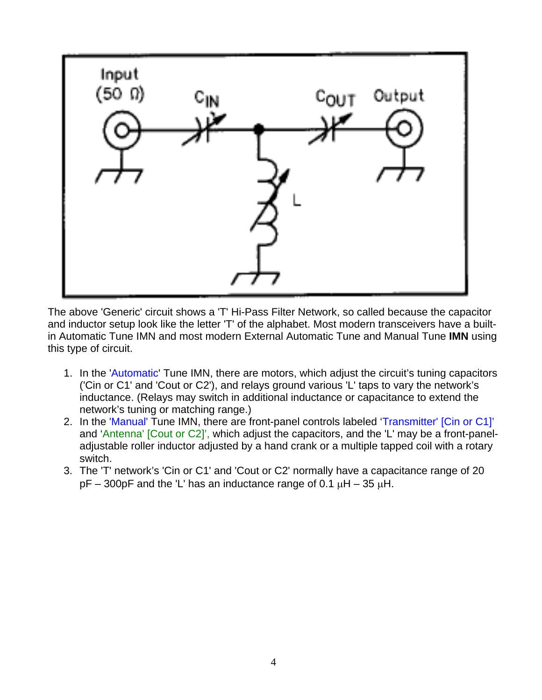

The above 'Generic' circuit shows a 'T' Hi-Pass Filter Network, so called because the capacitor and inductor setup look like the letter 'T' of the alphabet. Most modern transceivers have a builtin Automatic Tune IMN and most modern External Automatic Tune and Manual Tune **IMN** using this type of circuit.

- 1. In the 'Automatic' Tune IMN, there are motors, which adjust the circuit's tuning capacitors ('Cin or C1' and 'Cout or C2'), and relays ground various 'L' taps to vary the network's inductance. (Relays may switch in additional inductance or capacitance to extend the network's tuning or matching range.)
- 2. In the 'Manual' Tune IMN, there are front-panel controls labeled 'Transmitter' [Cin or C1]' and 'Antenna' [Cout or C2]', which adjust the capacitors, and the 'L' may be a front-paneladjustable roller inductor adjusted by a hand crank or a multiple tapped coil with a rotary switch.
- 3. The 'T' network's 'Cin or C1' and 'Cout or C2' normally have a capacitance range of 20  $pF - 300pF$  and the 'L' has an inductance range of 0.1  $\mu$ H – 35  $\mu$ H.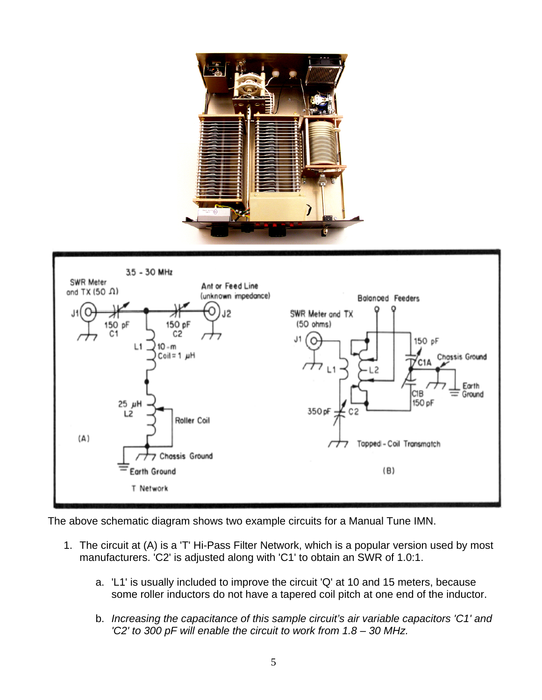



The above schematic diagram shows two example circuits for a Manual Tune IMN.

- 1. The circuit at (A) is a 'T' Hi-Pass Filter Network, which is a popular version used by most manufacturers. 'C2' is adjusted along with 'C1' to obtain an SWR of 1.0:1.
	- a. 'L1' is usually included to improve the circuit 'Q' at 10 and 15 meters, because some roller inductors do not have a tapered coil pitch at one end of the inductor.
	- b. *Increasing the capacitance of this sample circuit's air variable capacitors 'C1' and 'C2' to 300 pF will enable the circuit to work from 1.8 – 30 MHz.*